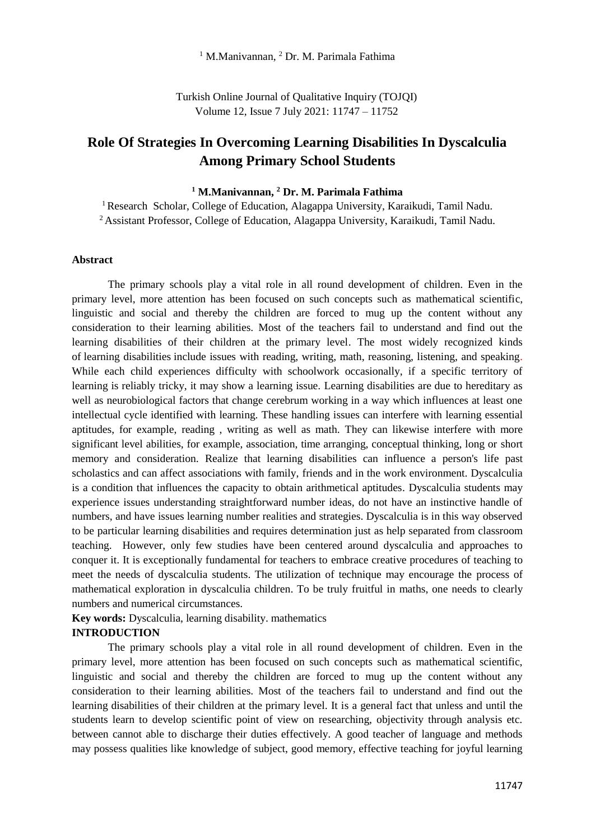<sup>1</sup> M.Manivannan, <sup>2</sup> Dr. M. Parimala Fathima

Turkish Online Journal of Qualitative Inquiry (TOJQI) Volume 12, Issue 7 July 2021: 11747 – 11752

# **Role Of Strategies In Overcoming Learning Disabilities In Dyscalculia Among Primary School Students**

## **<sup>1</sup> M.Manivannan, <sup>2</sup> Dr. M. Parimala Fathima**

<sup>1</sup> Research Scholar, College of Education, Alagappa University, Karaikudi, Tamil Nadu. <sup>2</sup>Assistant Professor, College of Education, Alagappa University, Karaikudi, Tamil Nadu.

#### **Abstract**

The primary schools play a vital role in all round development of children. Even in the primary level, more attention has been focused on such concepts such as mathematical scientific, linguistic and social and thereby the children are forced to mug up the content without any consideration to their learning abilities. Most of the teachers fail to understand and find out the learning disabilities of their children at the primary level. The most widely recognized kinds of learning disabilities include issues with reading, writing, math, reasoning, listening, and speaking. While each child experiences difficulty with schoolwork occasionally, if a specific territory of learning is reliably tricky, it may show a learning issue. Learning disabilities are due to hereditary as well as neurobiological factors that change cerebrum working in a way which influences at least one intellectual cycle identified with learning. These handling issues can interfere with learning essential aptitudes, for example, reading , writing as well as math. They can likewise interfere with more significant level abilities, for example, association, time arranging, conceptual thinking, long or short memory and consideration. Realize that learning disabilities can influence a person's life past scholastics and can affect associations with family, friends and in the work environment. Dyscalculia is a condition that influences the capacity to obtain arithmetical aptitudes. Dyscalculia students may experience issues understanding straightforward number ideas, do not have an instinctive handle of numbers, and have issues learning number realities and strategies. Dyscalculia is in this way observed to be particular learning disabilities and requires determination just as help separated from classroom teaching. However, only few studies have been centered around dyscalculia and approaches to conquer it. It is exceptionally fundamental for teachers to embrace creative procedures of teaching to meet the needs of dyscalculia students. The utilization of technique may encourage the process of mathematical exploration in dyscalculia children. To be truly fruitful in maths, one needs to clearly numbers and numerical circumstances.

# **Key words:** Dyscalculia, learning disability. mathematics

# **INTRODUCTION**

The primary schools play a vital role in all round development of children. Even in the primary level, more attention has been focused on such concepts such as mathematical scientific, linguistic and social and thereby the children are forced to mug up the content without any consideration to their learning abilities. Most of the teachers fail to understand and find out the learning disabilities of their children at the primary level. It is a general fact that unless and until the students learn to develop scientific point of view on researching, objectivity through analysis etc. between cannot able to discharge their duties effectively. A good teacher of language and methods may possess qualities like knowledge of subject, good memory, effective teaching for joyful learning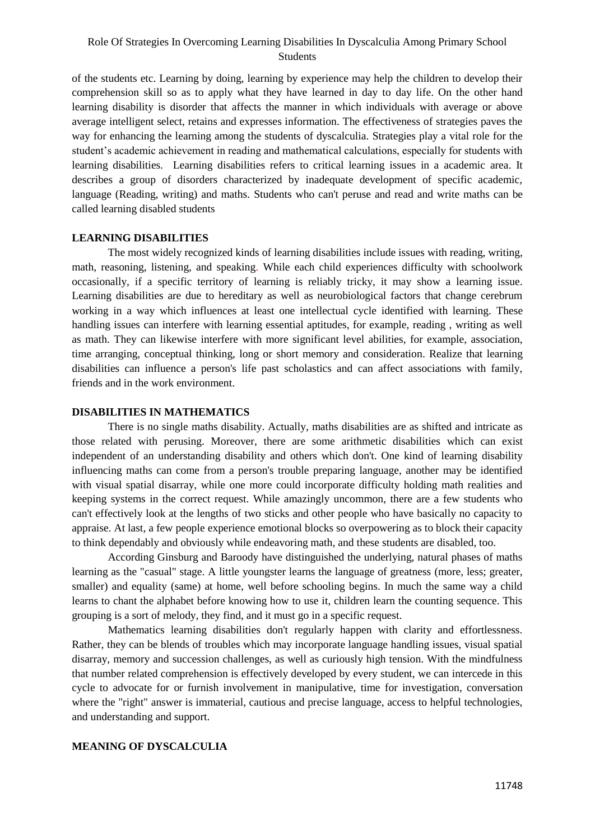## Role Of Strategies In Overcoming Learning Disabilities In Dyscalculia Among Primary School Students

of the students etc. Learning by doing, learning by experience may help the children to develop their comprehension skill so as to apply what they have learned in day to day life. On the other hand learning disability is disorder that affects the manner in which individuals with average or above average intelligent select, retains and expresses information. The effectiveness of strategies paves the way for enhancing the learning among the students of dyscalculia. Strategies play a vital role for the student's academic achievement in reading and mathematical calculations, especially for students with learning disabilities. Learning disabilities refers to critical learning issues in a academic area. It describes a group of disorders characterized by inadequate development of specific academic, language (Reading, writing) and maths. Students who can't peruse and read and write maths can be called learning disabled students

#### **LEARNING DISABILITIES**

The most widely recognized kinds of learning disabilities include issues with reading, writing, math, reasoning, listening, and speaking. While each child experiences difficulty with schoolwork occasionally, if a specific territory of learning is reliably tricky, it may show a learning issue. Learning disabilities are due to hereditary as well as neurobiological factors that change cerebrum working in a way which influences at least one intellectual cycle identified with learning. These handling issues can interfere with learning essential aptitudes, for example, reading , writing as well as math. They can likewise interfere with more significant level abilities, for example, association, time arranging, conceptual thinking, long or short memory and consideration. Realize that learning disabilities can influence a person's life past scholastics and can affect associations with family, friends and in the work environment.

#### **DISABILITIES IN MATHEMATICS**

There is no single maths disability. Actually, maths disabilities are as shifted and intricate as those related with perusing. Moreover, there are some arithmetic disabilities which can exist independent of an understanding disability and others which don't. One kind of learning disability influencing maths can come from a person's trouble preparing language, another may be identified with visual spatial disarray, while one more could incorporate difficulty holding math realities and keeping systems in the correct request. While amazingly uncommon, there are a few students who can't effectively look at the lengths of two sticks and other people who have basically no capacity to appraise. At last, a few people experience emotional blocks so overpowering as to block their capacity to think dependably and obviously while endeavoring math, and these students are disabled, too.

According Ginsburg and Baroody have distinguished the underlying, natural phases of maths learning as the "casual" stage. A little youngster learns the language of greatness (more, less; greater, smaller) and equality (same) at home, well before schooling begins. In much the same way a child learns to chant the alphabet before knowing how to use it, children learn the counting sequence. This grouping is a sort of melody, they find, and it must go in a specific request.

Mathematics learning disabilities don't regularly happen with clarity and effortlessness. Rather, they can be blends of troubles which may incorporate language handling issues, visual spatial disarray, memory and succession challenges, as well as curiously high tension. With the mindfulness that number related comprehension is effectively developed by every student, we can intercede in this cycle to advocate for or furnish involvement in manipulative, time for investigation, conversation where the "right" answer is immaterial, cautious and precise language, access to helpful technologies, and understanding and support.

#### **MEANING OF DYSCALCULIA**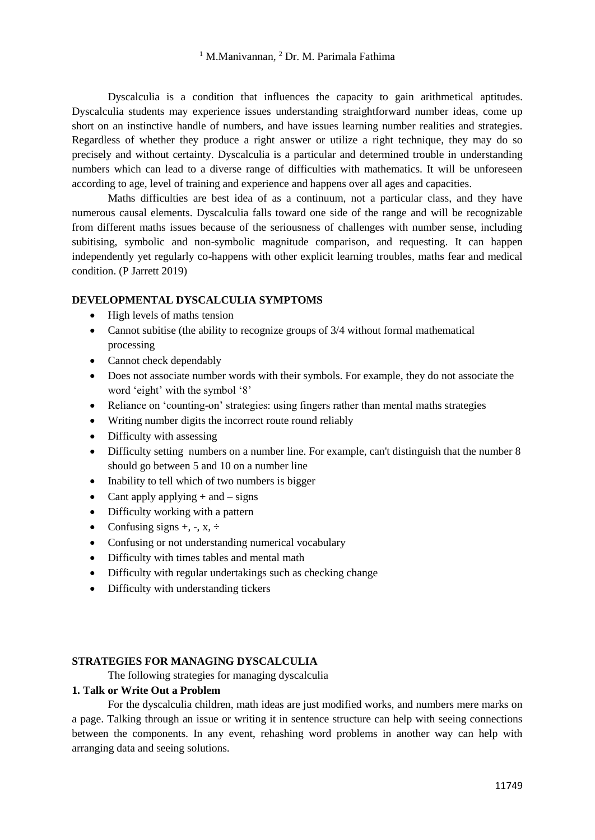Dyscalculia is a condition that influences the capacity to gain arithmetical aptitudes. Dyscalculia students may experience issues understanding straightforward number ideas, come up short on an instinctive handle of numbers, and have issues learning number realities and strategies. Regardless of whether they produce a right answer or utilize a right technique, they may do so precisely and without certainty. Dyscalculia is a particular and determined trouble in understanding numbers which can lead to a diverse range of difficulties with mathematics. It will be unforeseen according to age, level of training and experience and happens over all ages and capacities.

Maths difficulties are best idea of as a continuum, not a particular class, and they have numerous causal elements. Dyscalculia falls toward one side of the range and will be recognizable from different maths issues because of the seriousness of challenges with number sense, including subitising, symbolic and non-symbolic magnitude comparison, and requesting. It can happen independently yet regularly co-happens with other explicit learning troubles, maths fear and medical condition. (P Jarrett 2019)

#### **DEVELOPMENTAL DYSCALCULIA SYMPTOMS**

- High levels of maths tension
- Cannot subitise (the ability to recognize groups of 3/4 without formal mathematical processing
- Cannot check dependably
- Does not associate number words with their symbols. For example, they do not associate the word 'eight' with the symbol '8'
- Reliance on 'counting-on' strategies: using fingers rather than mental maths strategies
- Writing number digits the incorrect route round reliably
- Difficulty with assessing
- Difficulty setting numbers on a number line. For example, can't distinguish that the number 8 should go between 5 and 10 on a number line
- Inability to tell which of two numbers is bigger
- Cant apply applying  $+$  and  $-$  signs
- Difficulty working with a pattern
- Confusing signs  $+$ ,  $-$ ,  $x$ ,  $\div$
- Confusing or not understanding numerical vocabulary
- Difficulty with times tables and mental math
- Difficulty with regular undertakings such as checking change
- Difficulty with understanding tickers

#### **STRATEGIES FOR MANAGING DYSCALCULIA**

The following strategies for managing dyscalculia

# **1. Talk or Write Out a Problem**

For the dyscalculia children, math ideas are just modified works, and numbers mere marks on a page. Talking through an issue or writing it in sentence structure can help with seeing connections between the components. In any event, rehashing word problems in another way can help with arranging data and seeing solutions.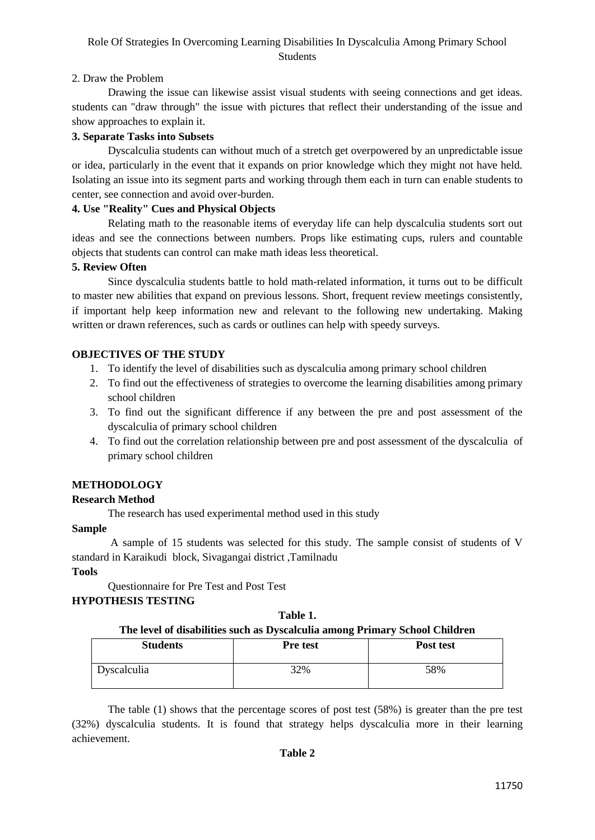# Role Of Strategies In Overcoming Learning Disabilities In Dyscalculia Among Primary School **Students**

## 2. Draw the Problem

Drawing the issue can likewise assist visual students with seeing connections and get ideas. students can "draw through" the issue with pictures that reflect their understanding of the issue and show approaches to explain it.

## **3. Separate Tasks into Subsets**

Dyscalculia students can without much of a stretch get overpowered by an unpredictable issue or idea, particularly in the event that it expands on prior knowledge which they might not have held. Isolating an issue into its segment parts and working through them each in turn can enable students to center, see connection and avoid over-burden.

## **4. Use "Reality" Cues and Physical Objects**

Relating math to the reasonable items of everyday life can help dyscalculia students sort out ideas and see the connections between numbers. Props like estimating cups, rulers and countable objects that students can control can make math ideas less theoretical.

## **5. Review Often**

Since dyscalculia students battle to hold math-related information, it turns out to be difficult to master new abilities that expand on previous lessons. Short, frequent review meetings consistently, if important help keep information new and relevant to the following new undertaking. Making written or drawn references, such as cards or outlines can help with speedy surveys.

## **OBJECTIVES OF THE STUDY**

- 1. To identify the level of disabilities such as dyscalculia among primary school children
- 2. To find out the effectiveness of strategies to overcome the learning disabilities among primary school children
- 3. To find out the significant difference if any between the pre and post assessment of the dyscalculia of primary school children
- 4. To find out the correlation relationship between pre and post assessment of the dyscalculia of primary school children

## **METHODOLOGY**

## **Research Method**

The research has used experimental method used in this study

## **Sample**

A sample of 15 students was selected for this study. The sample consist of students of V standard in Karaikudi block, Sivagangai district ,Tamilnadu

## **Tools**

Questionnaire for Pre Test and Post Test

## **HYPOTHESIS TESTING**

#### **Table 1.**

## **The level of disabilities such as Dyscalculia among Primary School Children**

| <b>Students</b>    | <b>Pre test</b> | Post test |
|--------------------|-----------------|-----------|
| <b>Dyscalculia</b> | 32%             | 58%       |

The table (1) shows that the percentage scores of post test (58%) is greater than the pre test (32%) dyscalculia students. It is found that strategy helps dyscalculia more in their learning achievement.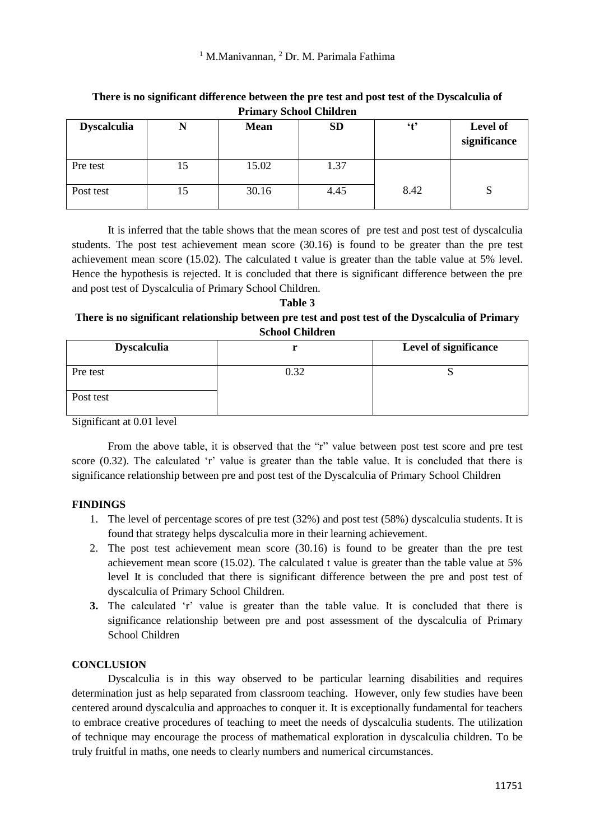# <sup>1</sup> M.Manivannan, <sup>2</sup> Dr. M. Parimala Fathima

| <b>Dyscalculia</b> |    | <b>Mean</b> | <b>SD</b> | 't'  | Level of<br>significance |  |
|--------------------|----|-------------|-----------|------|--------------------------|--|
| Pre test           | 15 | 15.02       | 1.37      |      |                          |  |
| Post test          | 15 | 30.16       | 4.45      | 8.42 | S                        |  |

**There is no significant difference between the pre test and post test of the Dyscalculia of Primary School Children**

It is inferred that the table shows that the mean scores of pre test and post test of dyscalculia students. The post test achievement mean score (30.16) is found to be greater than the pre test achievement mean score (15.02). The calculated t value is greater than the table value at 5% level. Hence the hypothesis is rejected. It is concluded that there is significant difference between the pre and post test of Dyscalculia of Primary School Children.

## **Table 3 There is no significant relationship between pre test and post test of the Dyscalculia of Primary School Children**

| <b>Dyscalculia</b> |      | Level of significance |
|--------------------|------|-----------------------|
| Pre test           | 0.32 |                       |
| Post test          |      |                       |

Significant at 0.01 level

From the above table, it is observed that the "r" value between post test score and pre test score (0.32). The calculated 'r' value is greater than the table value. It is concluded that there is significance relationship between pre and post test of the Dyscalculia of Primary School Children

## **FINDINGS**

- 1. The level of percentage scores of pre test (32%) and post test (58%) dyscalculia students. It is found that strategy helps dyscalculia more in their learning achievement.
- 2. The post test achievement mean score (30.16) is found to be greater than the pre test achievement mean score (15.02). The calculated t value is greater than the table value at 5% level It is concluded that there is significant difference between the pre and post test of dyscalculia of Primary School Children.
- **3.** The calculated 'r' value is greater than the table value. It is concluded that there is significance relationship between pre and post assessment of the dyscalculia of Primary School Children

## **CONCLUSION**

Dyscalculia is in this way observed to be particular learning disabilities and requires determination just as help separated from classroom teaching. However, only few studies have been centered around dyscalculia and approaches to conquer it. It is exceptionally fundamental for teachers to embrace creative procedures of teaching to meet the needs of dyscalculia students. The utilization of technique may encourage the process of mathematical exploration in dyscalculia children. To be truly fruitful in maths, one needs to clearly numbers and numerical circumstances.